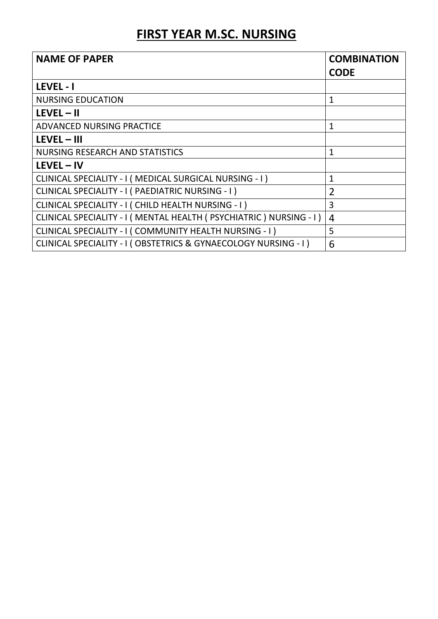## FIRST YEAR M.SC. NURSING

| <b>NAME OF PAPER</b>                                                  | <b>COMBINATION</b><br><b>CODE</b> |
|-----------------------------------------------------------------------|-----------------------------------|
| <b>LEVEL - I</b>                                                      |                                   |
| <b>NURSING EDUCATION</b>                                              | $\mathbf{1}$                      |
| $LEVEL - II$                                                          |                                   |
| ADVANCED NURSING PRACTICE                                             | $\mathbf{1}$                      |
| $LEVEL - III$                                                         |                                   |
| <b>NURSING RESEARCH AND STATISTICS</b>                                | 1                                 |
| $LEVEL - IV$                                                          |                                   |
| CLINICAL SPECIALITY - I ( MEDICAL SURGICAL NURSING - I )              | 1                                 |
| CLINICAL SPECIALITY - I ( PAEDIATRIC NURSING - I )                    | $\overline{2}$                    |
| CLINICAL SPECIALITY - I ( CHILD HEALTH NURSING - I )                  | 3                                 |
| CLINICAL SPECIALITY - I ( MENTAL HEALTH ( PSYCHIATRIC ) NURSING - I ) | 4                                 |
| CLINICAL SPECIALITY - I ( COMMUNITY HEALTH NURSING - I )              | 5                                 |
| CLINICAL SPECIALITY - I (OBSTETRICS & GYNAECOLOGY NURSING - I)        | 6                                 |